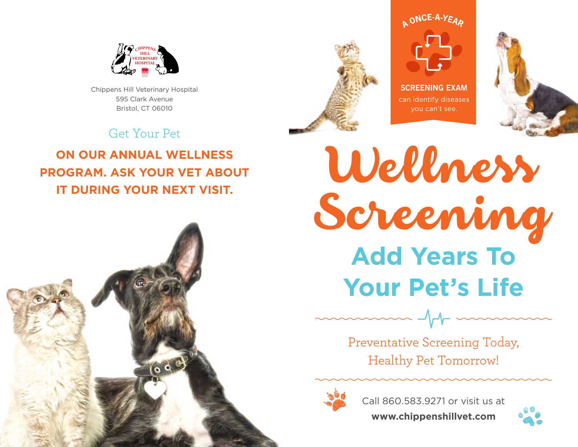

Chippens Hill Veterinary Hospital 595 Clark Avenue Bristol, CT 06010



**screening exam**  can identify diseases you can't see.



Get Your Pet

**on our annual wellness program. Ask your vet about it during your next visit.**



Wellness Screening **Add Years To Your Pet's Life**

> Preventative Screening Today, Healthy Pet Tomorrow!



Call 860.583.9271 or visit us at

**www.chippenshillvet.com**